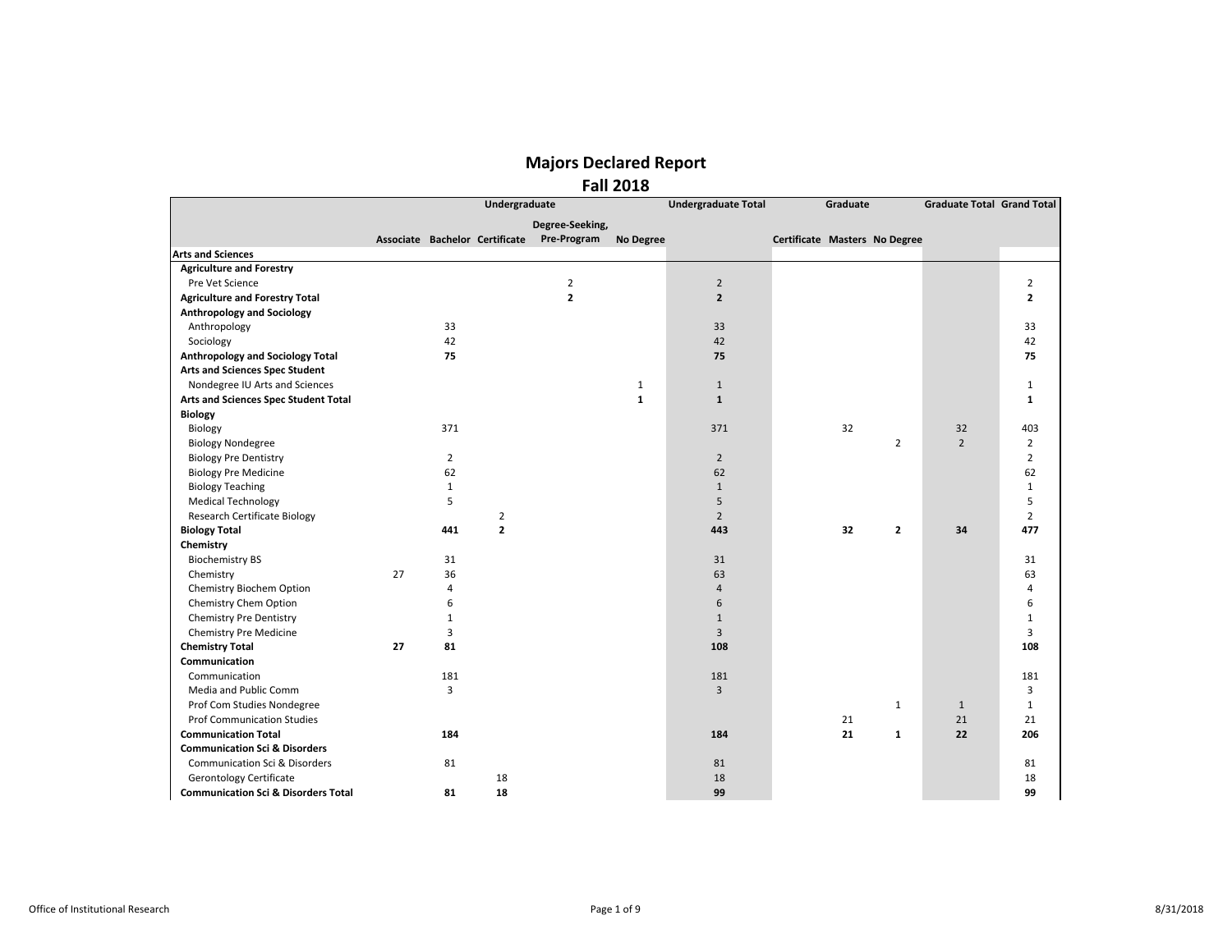|                                                |    |                | Undergraduate                  |                 |              | <b>Undergraduate Total</b> |                               | Graduate |                | <b>Graduate Total Grand Total</b> |                |
|------------------------------------------------|----|----------------|--------------------------------|-----------------|--------------|----------------------------|-------------------------------|----------|----------------|-----------------------------------|----------------|
|                                                |    |                |                                | Degree-Seeking, |              |                            |                               |          |                |                                   |                |
|                                                |    |                | Associate Bachelor Certificate | Pre-Program     | No Degree    |                            | Certificate Masters No Degree |          |                |                                   |                |
| <b>Arts and Sciences</b>                       |    |                |                                |                 |              |                            |                               |          |                |                                   |                |
| <b>Agriculture and Forestry</b>                |    |                |                                |                 |              |                            |                               |          |                |                                   |                |
| Pre Vet Science                                |    |                |                                | $\overline{2}$  |              | $\overline{2}$             |                               |          |                |                                   | $\overline{2}$ |
| <b>Agriculture and Forestry Total</b>          |    |                |                                | $\overline{2}$  |              | $\overline{2}$             |                               |          |                |                                   | $\overline{2}$ |
| <b>Anthropology and Sociology</b>              |    |                |                                |                 |              |                            |                               |          |                |                                   |                |
| Anthropology                                   |    | 33             |                                |                 |              | 33                         |                               |          |                |                                   | 33             |
| Sociology                                      |    | 42             |                                |                 |              | 42                         |                               |          |                |                                   | 42             |
| Anthropology and Sociology Total               |    | 75             |                                |                 |              | 75                         |                               |          |                |                                   | 75             |
| <b>Arts and Sciences Spec Student</b>          |    |                |                                |                 |              |                            |                               |          |                |                                   |                |
| Nondegree IU Arts and Sciences                 |    |                |                                |                 | $\mathbf{1}$ | $\mathbf{1}$               |                               |          |                |                                   | $\mathbf{1}$   |
| Arts and Sciences Spec Student Total           |    |                |                                |                 | $\mathbf{1}$ | $\mathbf{1}$               |                               |          |                |                                   | 1              |
| <b>Biology</b>                                 |    |                |                                |                 |              |                            |                               |          |                |                                   |                |
| Biology                                        |    | 371            |                                |                 |              | 371                        |                               | 32       |                | 32                                | 403            |
| <b>Biology Nondegree</b>                       |    |                |                                |                 |              |                            |                               |          | $\overline{2}$ | $\overline{2}$                    | $\overline{2}$ |
| <b>Biology Pre Dentistry</b>                   |    | $\overline{2}$ |                                |                 |              | $\overline{2}$             |                               |          |                |                                   | $\overline{2}$ |
| <b>Biology Pre Medicine</b>                    |    | 62             |                                |                 |              | 62                         |                               |          |                |                                   | 62             |
| <b>Biology Teaching</b>                        |    | $\mathbf{1}$   |                                |                 |              | $\mathbf{1}$               |                               |          |                |                                   | $\mathbf{1}$   |
| <b>Medical Technology</b>                      |    | 5              |                                |                 |              | 5                          |                               |          |                |                                   | 5              |
| <b>Research Certificate Biology</b>            |    |                | $\overline{2}$                 |                 |              | $\overline{2}$             |                               |          |                |                                   | $\overline{2}$ |
| <b>Biology Total</b>                           |    | 441            | $\overline{2}$                 |                 |              | 443                        |                               | 32       | $\mathbf{z}$   | 34                                | 477            |
| Chemistry                                      |    |                |                                |                 |              |                            |                               |          |                |                                   |                |
| <b>Biochemistry BS</b>                         |    | 31             |                                |                 |              | 31                         |                               |          |                |                                   | 31             |
| Chemistry                                      | 27 | 36             |                                |                 |              | 63                         |                               |          |                |                                   | 63             |
| Chemistry Biochem Option                       |    | $\overline{4}$ |                                |                 |              | $\overline{4}$             |                               |          |                |                                   | 4              |
| Chemistry Chem Option                          |    | 6              |                                |                 |              | 6                          |                               |          |                |                                   | 6              |
| <b>Chemistry Pre Dentistry</b>                 |    | $\mathbf 1$    |                                |                 |              | $\mathbf{1}$               |                               |          |                |                                   | $1\,$          |
| <b>Chemistry Pre Medicine</b>                  |    | $\overline{3}$ |                                |                 |              | $\overline{3}$             |                               |          |                |                                   | 3              |
| <b>Chemistry Total</b>                         | 27 | 81             |                                |                 |              | 108                        |                               |          |                |                                   | 108            |
| Communication                                  |    |                |                                |                 |              |                            |                               |          |                |                                   |                |
| Communication                                  |    | 181            |                                |                 |              | 181                        |                               |          |                |                                   | 181            |
| Media and Public Comm                          |    | $\overline{3}$ |                                |                 |              | 3                          |                               |          |                |                                   | 3              |
| Prof Com Studies Nondegree                     |    |                |                                |                 |              |                            |                               |          | $\mathbf{1}$   | $\mathbf{1}$                      | $\mathbf{1}$   |
| <b>Prof Communication Studies</b>              |    |                |                                |                 |              |                            |                               | 21       |                | 21                                | 21             |
| <b>Communication Total</b>                     |    | 184            |                                |                 |              | 184                        |                               | 21       | $\mathbf{1}$   | 22                                | 206            |
| <b>Communication Sci &amp; Disorders</b>       |    |                |                                |                 |              |                            |                               |          |                |                                   |                |
| <b>Communication Sci &amp; Disorders</b>       |    | 81             |                                |                 |              | 81                         |                               |          |                |                                   | 81             |
| <b>Gerontology Certificate</b>                 |    |                | 18                             |                 |              | 18                         |                               |          |                |                                   | 18             |
| <b>Communication Sci &amp; Disorders Total</b> |    | 81             | 18                             |                 |              | 99                         |                               |          |                |                                   | 99             |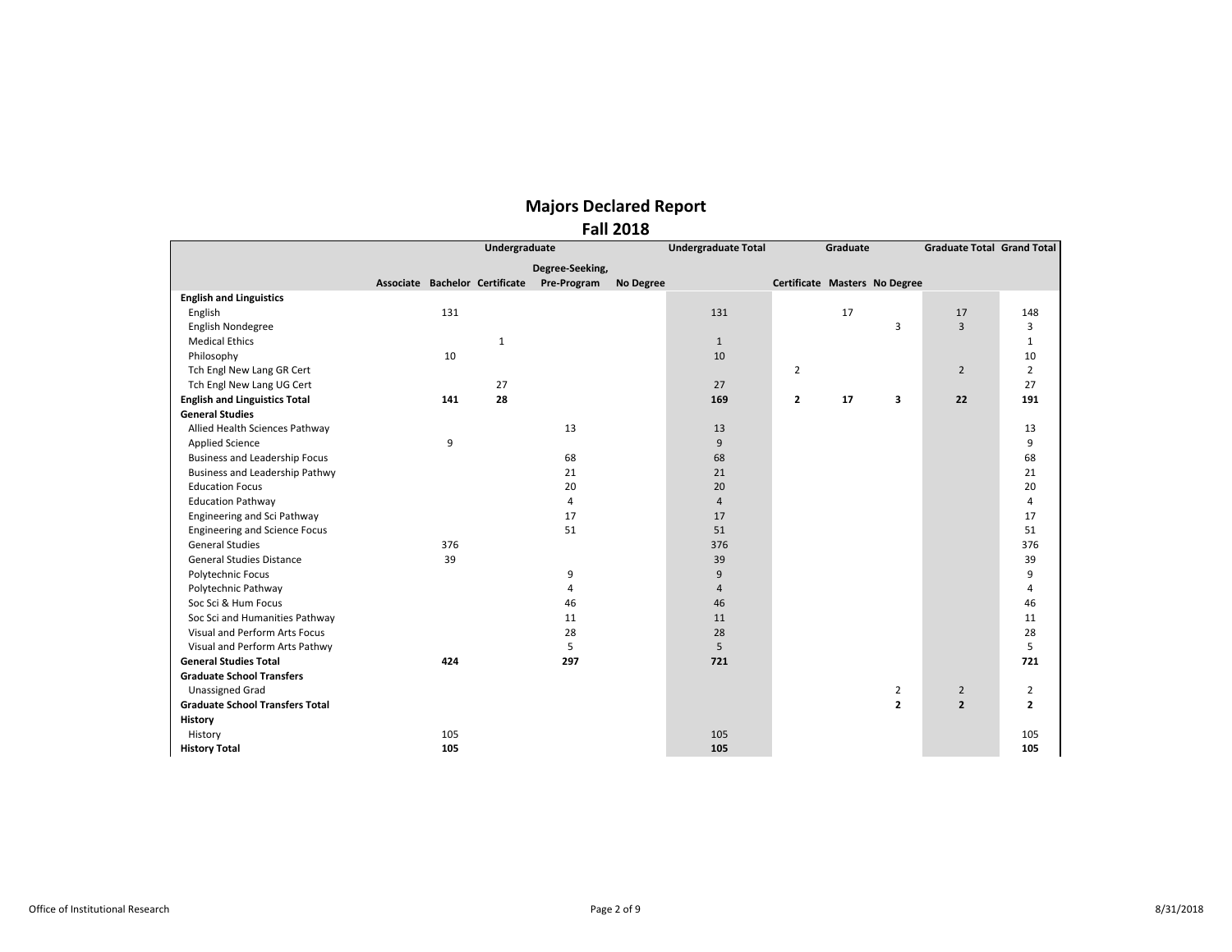|                                        |                                            |               |                 | <b>Fall 2018</b> |                            |                               |          |                |                                   |                |
|----------------------------------------|--------------------------------------------|---------------|-----------------|------------------|----------------------------|-------------------------------|----------|----------------|-----------------------------------|----------------|
|                                        |                                            | Undergraduate |                 |                  | <b>Undergraduate Total</b> |                               | Graduate |                | <b>Graduate Total Grand Total</b> |                |
|                                        |                                            |               | Degree-Seeking, |                  |                            |                               |          |                |                                   |                |
|                                        | Associate Bachelor Certificate Pre-Program |               |                 | No Degree        |                            | Certificate Masters No Degree |          |                |                                   |                |
| <b>English and Linguistics</b>         |                                            |               |                 |                  |                            |                               |          |                |                                   |                |
| English                                | 131                                        |               |                 |                  | 131                        |                               | 17       |                | 17                                | 148            |
| English Nondegree                      |                                            |               |                 |                  |                            |                               |          | 3              | $\overline{3}$                    | 3              |
| <b>Medical Ethics</b>                  |                                            | $1\,$         |                 |                  | $\mathbf{1}$               |                               |          |                |                                   | $\mathbf{1}$   |
| Philosophy                             | 10                                         |               |                 |                  | 10                         |                               |          |                |                                   | 10             |
| Tch Engl New Lang GR Cert              |                                            |               |                 |                  |                            | $\overline{2}$                |          |                | $\overline{2}$                    | $\overline{2}$ |
| Tch Engl New Lang UG Cert              |                                            | 27            |                 |                  | 27                         |                               |          |                |                                   | 27             |
| <b>English and Linguistics Total</b>   | 141                                        | 28            |                 |                  | 169                        | $\overline{2}$                | 17       | 3              | 22                                | 191            |
| <b>General Studies</b>                 |                                            |               |                 |                  |                            |                               |          |                |                                   |                |
| Allied Health Sciences Pathway         |                                            |               | 13              |                  | 13                         |                               |          |                |                                   | 13             |
| <b>Applied Science</b>                 | 9                                          |               |                 |                  | 9                          |                               |          |                |                                   | 9              |
| <b>Business and Leadership Focus</b>   |                                            |               | 68              |                  | 68                         |                               |          |                |                                   | 68             |
| Business and Leadership Pathwy         |                                            |               | 21              |                  | 21                         |                               |          |                |                                   | 21             |
| <b>Education Focus</b>                 |                                            |               | 20              |                  | 20                         |                               |          |                |                                   | 20             |
| <b>Education Pathway</b>               |                                            |               | 4               |                  | $\overline{4}$             |                               |          |                |                                   | 4              |
| Engineering and Sci Pathway            |                                            |               | 17              |                  | 17                         |                               |          |                |                                   | 17             |
| <b>Engineering and Science Focus</b>   |                                            |               | 51              |                  | 51                         |                               |          |                |                                   | 51             |
| <b>General Studies</b>                 | 376                                        |               |                 |                  | 376                        |                               |          |                |                                   | 376            |
| <b>General Studies Distance</b>        | 39                                         |               |                 |                  | 39                         |                               |          |                |                                   | 39             |
| Polytechnic Focus                      |                                            |               | 9               |                  | 9                          |                               |          |                |                                   | 9              |
| Polytechnic Pathway                    |                                            |               | 4               |                  | $\overline{4}$             |                               |          |                |                                   | 4              |
| Soc Sci & Hum Focus                    |                                            |               | 46              |                  | 46                         |                               |          |                |                                   | 46             |
| Soc Sci and Humanities Pathway         |                                            |               | 11              |                  | 11                         |                               |          |                |                                   | 11             |
| Visual and Perform Arts Focus          |                                            |               | 28              |                  | 28                         |                               |          |                |                                   | 28             |
| Visual and Perform Arts Pathwy         |                                            |               | 5               |                  | 5                          |                               |          |                |                                   | 5              |
| <b>General Studies Total</b>           | 424                                        |               | 297             |                  | 721                        |                               |          |                |                                   | 721            |
| <b>Graduate School Transfers</b>       |                                            |               |                 |                  |                            |                               |          |                |                                   |                |
| <b>Unassigned Grad</b>                 |                                            |               |                 |                  |                            |                               |          | $\overline{2}$ | $\overline{2}$                    | $\overline{2}$ |
| <b>Graduate School Transfers Total</b> |                                            |               |                 |                  |                            |                               |          | $\overline{2}$ | $\overline{2}$                    | $\overline{2}$ |
| <b>History</b>                         |                                            |               |                 |                  |                            |                               |          |                |                                   |                |
| History                                | 105                                        |               |                 |                  | 105                        |                               |          |                |                                   | 105            |
|                                        |                                            |               |                 |                  |                            |                               |          |                |                                   |                |

**History Total 105 105 105**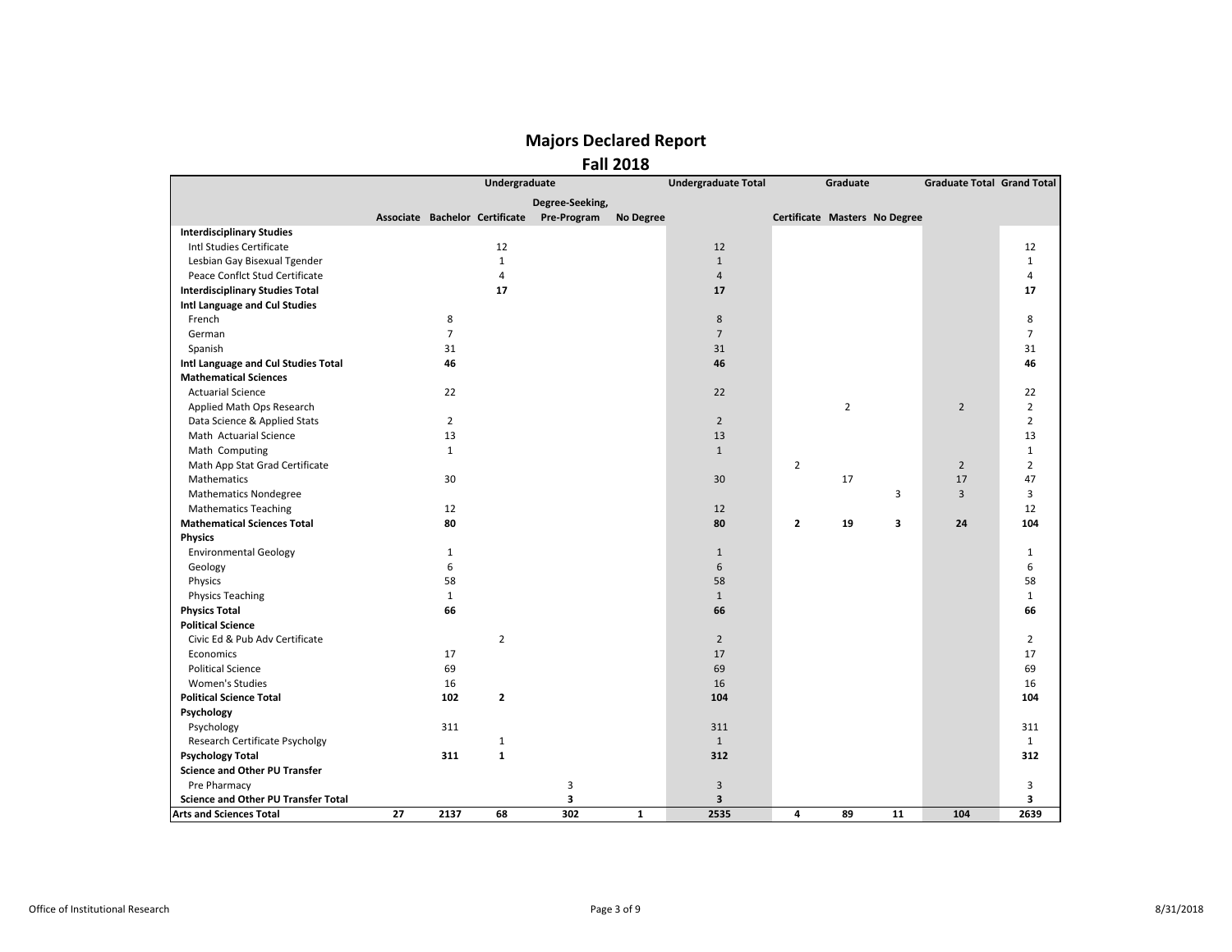|                                            |    |                | Undergraduate                  |                 |                  | <b>Undergraduate Total</b> |                               | Graduate       |    | <b>Graduate Total Grand Total</b> |                |
|--------------------------------------------|----|----------------|--------------------------------|-----------------|------------------|----------------------------|-------------------------------|----------------|----|-----------------------------------|----------------|
|                                            |    |                |                                | Degree-Seeking, |                  |                            |                               |                |    |                                   |                |
|                                            |    |                | Associate Bachelor Certificate | Pre-Program     | <b>No Degree</b> |                            | Certificate Masters No Degree |                |    |                                   |                |
| <b>Interdisciplinary Studies</b>           |    |                |                                |                 |                  |                            |                               |                |    |                                   |                |
| Intl Studies Certificate                   |    |                | 12                             |                 |                  | 12                         |                               |                |    |                                   | 12             |
| Lesbian Gay Bisexual Tgender               |    |                | $\mathbf{1}$                   |                 |                  | $\mathbf{1}$               |                               |                |    |                                   | $\mathbf{1}$   |
| Peace Conflct Stud Certificate             |    |                | $\overline{4}$                 |                 |                  | $\overline{4}$             |                               |                |    |                                   | 4              |
| <b>Interdisciplinary Studies Total</b>     |    |                | 17                             |                 |                  | 17                         |                               |                |    |                                   | 17             |
| Intl Language and Cul Studies              |    |                |                                |                 |                  |                            |                               |                |    |                                   |                |
| French                                     |    | 8              |                                |                 |                  | 8                          |                               |                |    |                                   | 8              |
| German                                     |    | $\overline{7}$ |                                |                 |                  | $\overline{7}$             |                               |                |    |                                   | $\overline{7}$ |
| Spanish                                    |    | 31             |                                |                 |                  | 31                         |                               |                |    |                                   | 31             |
| Intl Language and Cul Studies Total        |    | 46             |                                |                 |                  | 46                         |                               |                |    |                                   | 46             |
| <b>Mathematical Sciences</b>               |    |                |                                |                 |                  |                            |                               |                |    |                                   |                |
| <b>Actuarial Science</b>                   |    | 22             |                                |                 |                  | 22                         |                               |                |    |                                   | 22             |
| Applied Math Ops Research                  |    |                |                                |                 |                  |                            |                               | $\overline{2}$ |    | $\overline{2}$                    | $\overline{2}$ |
| Data Science & Applied Stats               |    | $\overline{2}$ |                                |                 |                  | $\overline{2}$             |                               |                |    |                                   | $\overline{2}$ |
| Math Actuarial Science                     |    | 13             |                                |                 |                  | 13                         |                               |                |    |                                   | 13             |
| Math Computing                             |    | $\mathbf{1}$   |                                |                 |                  | $\mathbf{1}$               |                               |                |    |                                   | $\mathbf{1}$   |
| Math App Stat Grad Certificate             |    |                |                                |                 |                  |                            | $\overline{2}$                |                |    | $\overline{2}$                    | $\overline{2}$ |
| Mathematics                                |    | 30             |                                |                 |                  | 30                         |                               | 17             |    | 17                                | 47             |
| <b>Mathematics Nondegree</b>               |    |                |                                |                 |                  |                            |                               |                | 3  | $\overline{3}$                    | 3              |
| <b>Mathematics Teaching</b>                |    | 12             |                                |                 |                  | 12                         |                               |                |    |                                   | 12             |
| <b>Mathematical Sciences Total</b>         |    | 80             |                                |                 |                  | 80                         | $\overline{2}$                | 19             | 3  | 24                                | 104            |
| <b>Physics</b>                             |    |                |                                |                 |                  |                            |                               |                |    |                                   |                |
| <b>Environmental Geology</b>               |    | $\mathbf{1}$   |                                |                 |                  | $\mathbf{1}$               |                               |                |    |                                   | $\mathbf{1}$   |
| Geology                                    |    | 6              |                                |                 |                  | 6                          |                               |                |    |                                   | 6              |
| Physics                                    |    | 58             |                                |                 |                  | 58                         |                               |                |    |                                   | 58             |
| <b>Physics Teaching</b>                    |    | $\mathbf{1}$   |                                |                 |                  | $\mathbf{1}$               |                               |                |    |                                   | $\mathbf{1}$   |
| <b>Physics Total</b>                       |    | 66             |                                |                 |                  | 66                         |                               |                |    |                                   | 66             |
| <b>Political Science</b>                   |    |                |                                |                 |                  |                            |                               |                |    |                                   |                |
| Civic Ed & Pub Adv Certificate             |    |                | $\overline{2}$                 |                 |                  | $\overline{2}$             |                               |                |    |                                   | $\overline{2}$ |
| Economics                                  |    | 17             |                                |                 |                  | 17                         |                               |                |    |                                   | 17             |
| <b>Political Science</b>                   |    | 69             |                                |                 |                  | 69                         |                               |                |    |                                   | 69             |
| <b>Women's Studies</b>                     |    | 16             |                                |                 |                  | 16                         |                               |                |    |                                   | 16             |
| <b>Political Science Total</b>             |    | 102            | $\overline{2}$                 |                 |                  | 104                        |                               |                |    |                                   | 104            |
| Psychology                                 |    |                |                                |                 |                  |                            |                               |                |    |                                   |                |
| Psychology                                 |    | 311            |                                |                 |                  | 311                        |                               |                |    |                                   | 311            |
| Research Certificate Psycholgy             |    |                | 1                              |                 |                  | $\mathbf{1}$               |                               |                |    |                                   | $\mathbf{1}$   |
| <b>Psychology Total</b>                    |    | 311            | $\mathbf{1}$                   |                 |                  | 312                        |                               |                |    |                                   | 312            |
| <b>Science and Other PU Transfer</b>       |    |                |                                |                 |                  |                            |                               |                |    |                                   |                |
| Pre Pharmacy                               |    |                |                                | 3               |                  | 3                          |                               |                |    |                                   | 3              |
| <b>Science and Other PU Transfer Total</b> |    |                |                                | 3               |                  | 3                          |                               |                |    |                                   | 3              |
| <b>Arts and Sciences Total</b>             | 27 | 2137           | 68                             | 302             | $\mathbf{1}$     | 2535                       | 4                             | 89             | 11 | 104                               | 2639           |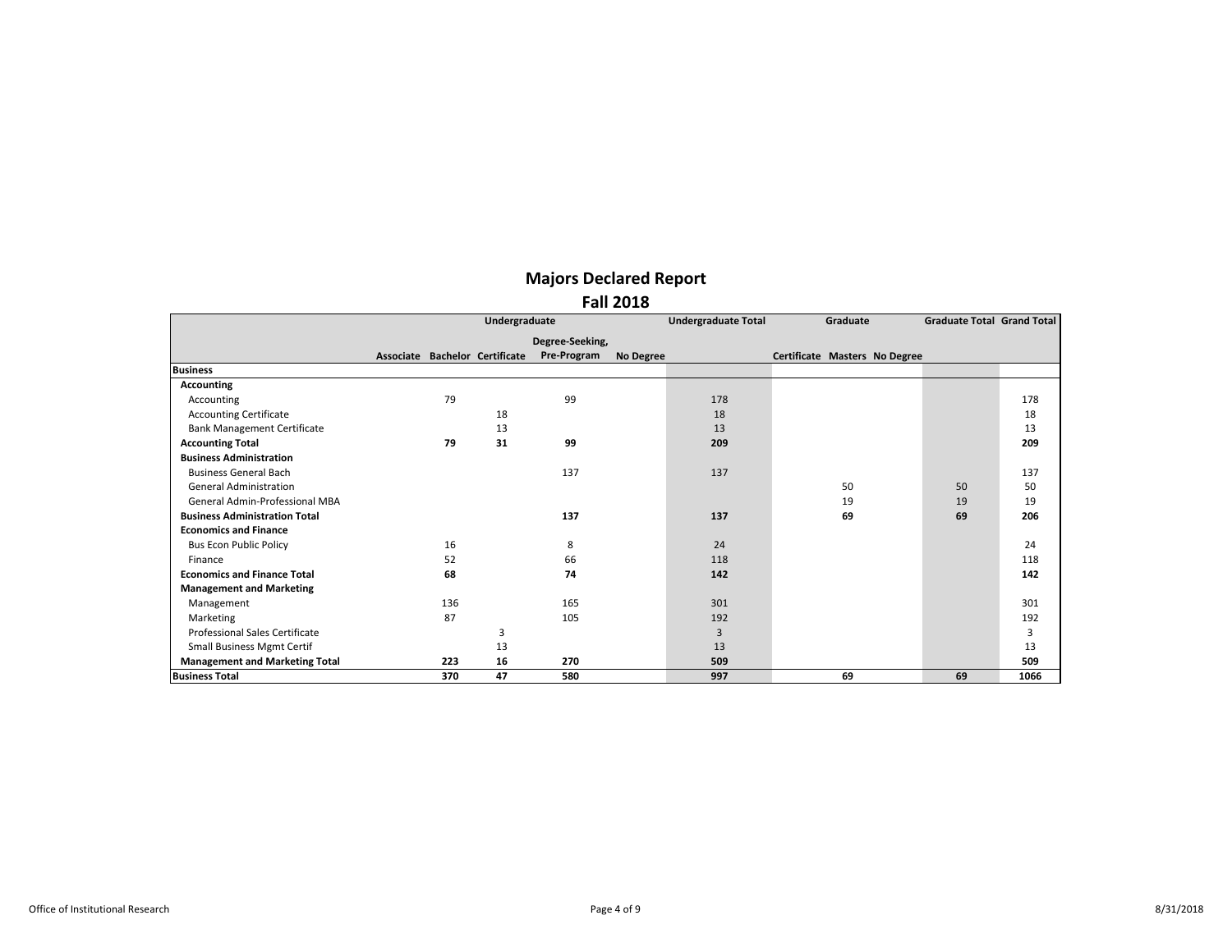|                                       |     | Undergraduate                  |                 |                  | <b>Undergraduate Total</b> | Graduate                      | <b>Graduate Total Grand Total</b> |      |
|---------------------------------------|-----|--------------------------------|-----------------|------------------|----------------------------|-------------------------------|-----------------------------------|------|
|                                       |     |                                | Degree-Seeking, |                  |                            |                               |                                   |      |
|                                       |     | Associate Bachelor Certificate | Pre-Program     | <b>No Degree</b> |                            | Certificate Masters No Degree |                                   |      |
| <b>Business</b>                       |     |                                |                 |                  |                            |                               |                                   |      |
| <b>Accounting</b>                     |     |                                |                 |                  |                            |                               |                                   |      |
| Accounting                            | 79  |                                | 99              |                  | 178                        |                               |                                   | 178  |
| <b>Accounting Certificate</b>         |     | 18                             |                 |                  | 18                         |                               |                                   | 18   |
| <b>Bank Management Certificate</b>    |     | 13                             |                 |                  | 13                         |                               |                                   | 13   |
| <b>Accounting Total</b>               | 79  | 31                             | 99              |                  | 209                        |                               |                                   | 209  |
| <b>Business Administration</b>        |     |                                |                 |                  |                            |                               |                                   |      |
| <b>Business General Bach</b>          |     |                                | 137             |                  | 137                        |                               |                                   | 137  |
| <b>General Administration</b>         |     |                                |                 |                  |                            | 50                            | 50                                | 50   |
| General Admin-Professional MBA        |     |                                |                 |                  |                            | 19                            | 19                                | 19   |
| <b>Business Administration Total</b>  |     |                                | 137             |                  | 137                        | 69                            | 69                                | 206  |
| <b>Economics and Finance</b>          |     |                                |                 |                  |                            |                               |                                   |      |
| <b>Bus Econ Public Policy</b>         | 16  |                                | 8               |                  | 24                         |                               |                                   | 24   |
| Finance                               | 52  |                                | 66              |                  | 118                        |                               |                                   | 118  |
| <b>Economics and Finance Total</b>    | 68  |                                | 74              |                  | 142                        |                               |                                   | 142  |
| <b>Management and Marketing</b>       |     |                                |                 |                  |                            |                               |                                   |      |
| Management                            | 136 |                                | 165             |                  | 301                        |                               |                                   | 301  |
| Marketing                             | 87  |                                | 105             |                  | 192                        |                               |                                   | 192  |
| <b>Professional Sales Certificate</b> |     | 3                              |                 |                  | 3                          |                               |                                   | 3    |
| Small Business Mgmt Certif            |     | 13                             |                 |                  | 13                         |                               |                                   | 13   |
| <b>Management and Marketing Total</b> | 223 | 16                             | 270             |                  | 509                        |                               |                                   | 509  |
| <b>Business Total</b>                 | 370 | 47                             | 580             |                  | 997                        | 69                            | 69                                | 1066 |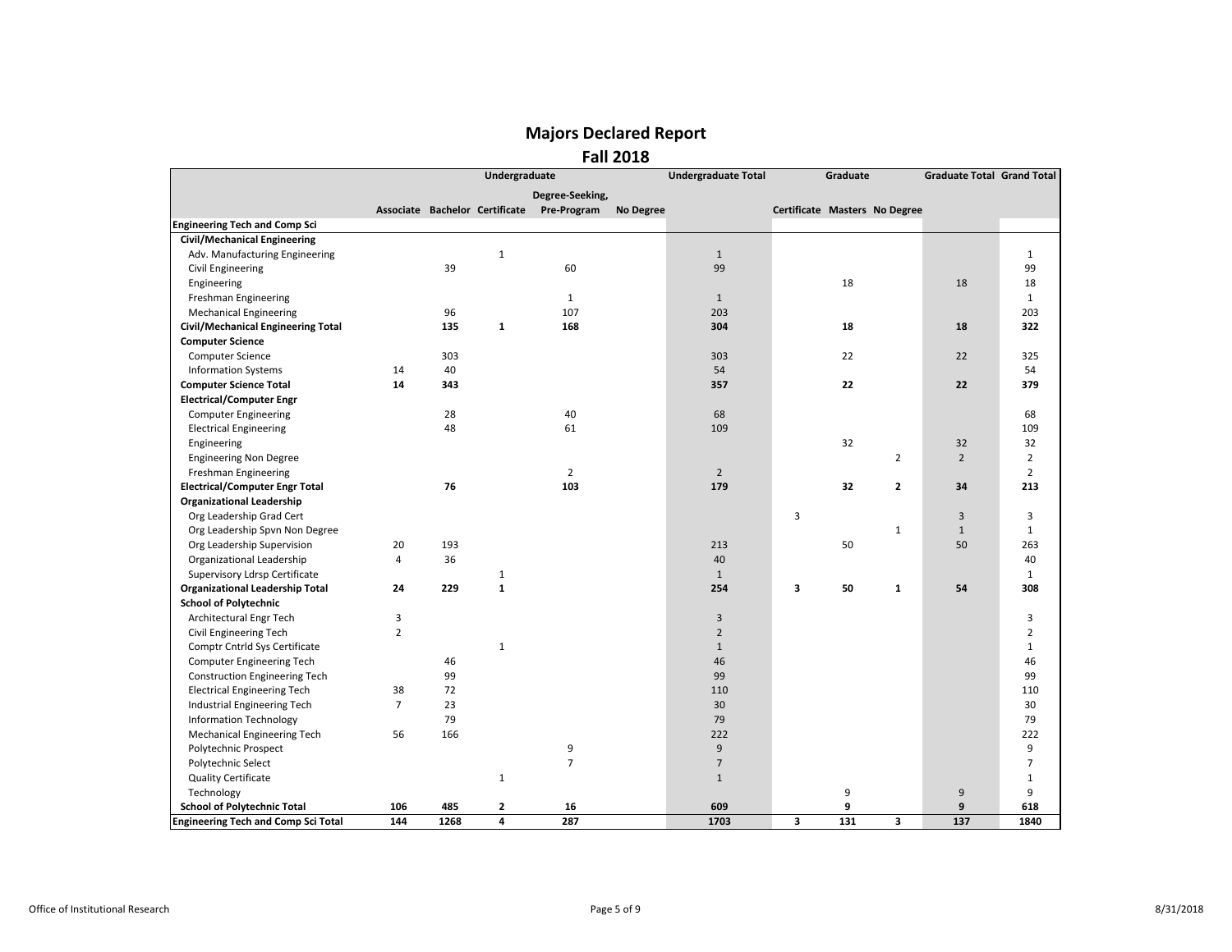|                                            |                |      | Undergraduate |                                            |                  | <b>Undergraduate Total</b> |                               | Graduate |                | <b>Graduate Total Grand Total</b> |                |
|--------------------------------------------|----------------|------|---------------|--------------------------------------------|------------------|----------------------------|-------------------------------|----------|----------------|-----------------------------------|----------------|
|                                            |                |      |               | Degree-Seeking,                            |                  |                            |                               |          |                |                                   |                |
|                                            |                |      |               | Associate Bachelor Certificate Pre-Program | <b>No Degree</b> |                            | Certificate Masters No Degree |          |                |                                   |                |
| <b>Engineering Tech and Comp Sci</b>       |                |      |               |                                            |                  |                            |                               |          |                |                                   |                |
| <b>Civil/Mechanical Engineering</b>        |                |      |               |                                            |                  |                            |                               |          |                |                                   |                |
| Adv. Manufacturing Engineering             |                |      | $\mathbf{1}$  |                                            |                  | $\mathbf{1}$               |                               |          |                |                                   | $\mathbf{1}$   |
| Civil Engineering                          |                | 39   |               | 60                                         |                  | 99                         |                               |          |                |                                   | 99             |
| Engineering                                |                |      |               |                                            |                  |                            |                               | 18       |                | 18                                | 18             |
| Freshman Engineering                       |                |      |               | $\mathbf{1}$                               |                  | $\mathbf{1}$               |                               |          |                |                                   | $\mathbf{1}$   |
| <b>Mechanical Engineering</b>              |                | 96   |               | 107                                        |                  | 203                        |                               |          |                |                                   | 203            |
| Civil/Mechanical Engineering Total         |                | 135  | $\mathbf{1}$  | 168                                        |                  | 304                        |                               | 18       |                | 18                                | 322            |
| <b>Computer Science</b>                    |                |      |               |                                            |                  |                            |                               |          |                |                                   |                |
| <b>Computer Science</b>                    |                | 303  |               |                                            |                  | 303                        |                               | 22       |                | 22                                | 325            |
| <b>Information Systems</b>                 | 14             | 40   |               |                                            |                  | 54                         |                               |          |                |                                   | 54             |
| <b>Computer Science Total</b>              | 14             | 343  |               |                                            |                  | 357                        |                               | 22       |                | 22                                | 379            |
| <b>Electrical/Computer Engr</b>            |                |      |               |                                            |                  |                            |                               |          |                |                                   |                |
| <b>Computer Engineering</b>                |                | 28   |               | 40                                         |                  | 68                         |                               |          |                |                                   | 68             |
| <b>Electrical Engineering</b>              |                | 48   |               | 61                                         |                  | 109                        |                               |          |                |                                   | 109            |
| Engineering                                |                |      |               |                                            |                  |                            |                               | 32       |                | 32                                | 32             |
| <b>Engineering Non Degree</b>              |                |      |               |                                            |                  |                            |                               |          | $\overline{2}$ | $\overline{2}$                    | $\overline{2}$ |
| Freshman Engineering                       |                |      |               | $\overline{2}$                             |                  | $\overline{2}$             |                               |          |                |                                   | $\overline{2}$ |
| <b>Electrical/Computer Engr Total</b>      |                | 76   |               | 103                                        |                  | 179                        |                               | 32       | $\mathbf{2}$   | 34                                | 213            |
| <b>Organizational Leadership</b>           |                |      |               |                                            |                  |                            |                               |          |                |                                   |                |
| Org Leadership Grad Cert                   |                |      |               |                                            |                  |                            | $\overline{3}$                |          |                | $\overline{3}$                    | 3              |
| Org Leadership Spvn Non Degree             |                |      |               |                                            |                  |                            |                               |          | $\mathbf{1}$   | $\mathbf{1}$                      | $\mathbf{1}$   |
| Org Leadership Supervision                 | 20             | 193  |               |                                            |                  | 213                        |                               | 50       |                | 50                                | 263            |
| Organizational Leadership                  | $\overline{4}$ | 36   |               |                                            |                  | 40                         |                               |          |                |                                   | 40             |
| Supervisory Ldrsp Certificate              |                |      | $\mathbf{1}$  |                                            |                  | $\mathbf{1}$               |                               |          |                |                                   | $\mathbf{1}$   |
| <b>Organizational Leadership Total</b>     | 24             | 229  | $\mathbf 1$   |                                            |                  | 254                        | 3                             | 50       | $\mathbf{1}$   | 54                                | 308            |
| <b>School of Polytechnic</b>               |                |      |               |                                            |                  |                            |                               |          |                |                                   |                |
| Architectural Engr Tech                    | 3              |      |               |                                            |                  | 3                          |                               |          |                |                                   | 3              |
| Civil Engineering Tech                     | $\overline{2}$ |      |               |                                            |                  | $\overline{2}$             |                               |          |                |                                   | $\overline{2}$ |
| Comptr Cntrld Sys Certificate              |                |      | 1             |                                            |                  | $\mathbf{1}$               |                               |          |                |                                   | $\mathbf{1}$   |
| Computer Engineering Tech                  |                | 46   |               |                                            |                  | 46                         |                               |          |                |                                   | 46             |
| <b>Construction Engineering Tech</b>       |                | 99   |               |                                            |                  | 99                         |                               |          |                |                                   | 99             |
| <b>Electrical Engineering Tech</b>         | 38             | 72   |               |                                            |                  | 110                        |                               |          |                |                                   | 110            |
| Industrial Engineering Tech                | $\overline{7}$ | 23   |               |                                            |                  | 30                         |                               |          |                |                                   | 30             |
| <b>Information Technology</b>              |                | 79   |               |                                            |                  | 79                         |                               |          |                |                                   | 79             |
| <b>Mechanical Engineering Tech</b>         | 56             | 166  |               |                                            |                  | 222                        |                               |          |                |                                   | 222            |
| Polytechnic Prospect                       |                |      |               | 9                                          |                  | 9                          |                               |          |                |                                   | 9              |
| Polytechnic Select                         |                |      |               | $\overline{7}$                             |                  | $\overline{7}$             |                               |          |                |                                   | $\overline{7}$ |
| <b>Quality Certificate</b>                 |                |      | $\mathbf{1}$  |                                            |                  | $\mathbf{1}$               |                               |          |                |                                   | $\mathbf{1}$   |
| Technology                                 |                |      |               |                                            |                  |                            |                               | 9        |                | 9                                 | 9              |
| <b>School of Polytechnic Total</b>         | 106            | 485  | $\mathbf{z}$  | 16                                         |                  | 609                        |                               | 9        |                | 9                                 | 618            |
| <b>Engineering Tech and Comp Sci Total</b> | 144            | 1268 | 4             | 287                                        |                  | 1703                       | 3                             | 131      | 3              | 137                               | 1840           |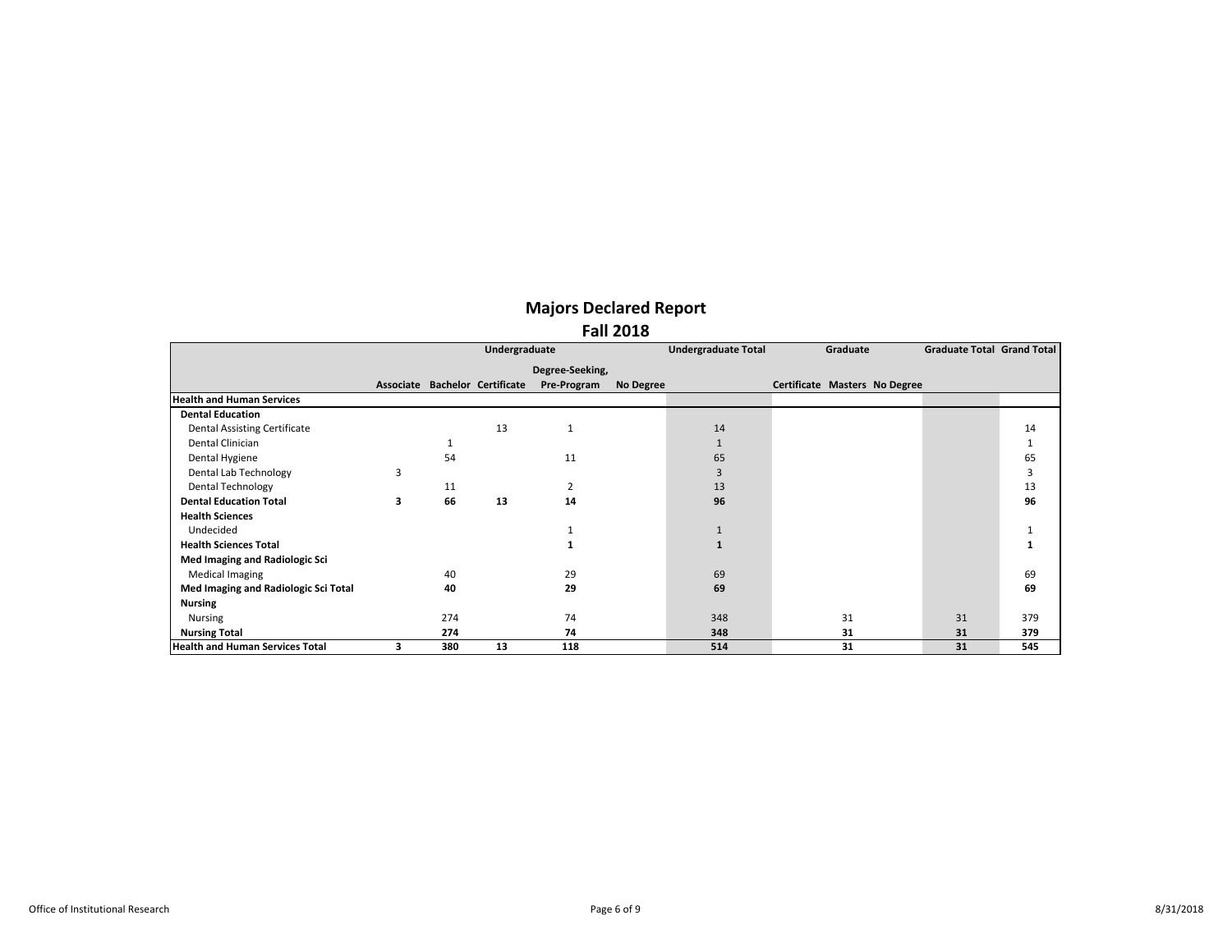|                                        |   |     | Undergraduate                  |                 |           | <b>Undergraduate Total</b> | Graduate                      | Graduate Total Grand Total |     |
|----------------------------------------|---|-----|--------------------------------|-----------------|-----------|----------------------------|-------------------------------|----------------------------|-----|
|                                        |   |     |                                |                 |           |                            |                               |                            |     |
|                                        |   |     |                                | Degree-Seeking, |           |                            |                               |                            |     |
|                                        |   |     | Associate Bachelor Certificate | Pre-Program     | No Degree |                            | Certificate Masters No Degree |                            |     |
| <b>Health and Human Services</b>       |   |     |                                |                 |           |                            |                               |                            |     |
| <b>Dental Education</b>                |   |     |                                |                 |           |                            |                               |                            |     |
| <b>Dental Assisting Certificate</b>    |   |     | 13                             | $\mathbf{1}$    |           | 14                         |                               |                            | 14  |
| Dental Clinician                       |   |     |                                |                 |           | $\mathbf{1}$               |                               |                            |     |
| Dental Hygiene                         |   | 54  |                                | 11              |           | 65                         |                               |                            | 65  |
| Dental Lab Technology                  | 3 |     |                                |                 |           | $\overline{3}$             |                               |                            | 3   |
| <b>Dental Technology</b>               |   | 11  |                                | 2               |           | 13                         |                               |                            | 13  |
| <b>Dental Education Total</b>          | 3 | 66  | 13                             | 14              |           | 96                         |                               |                            | 96  |
| <b>Health Sciences</b>                 |   |     |                                |                 |           |                            |                               |                            |     |
| Undecided                              |   |     |                                |                 |           | $\mathbf{1}$               |                               |                            |     |
| <b>Health Sciences Total</b>           |   |     |                                |                 |           | $\mathbf{1}$               |                               |                            |     |
| Med Imaging and Radiologic Sci         |   |     |                                |                 |           |                            |                               |                            |     |
| <b>Medical Imaging</b>                 |   | 40  |                                | 29              |           | 69                         |                               |                            | 69  |
| Med Imaging and Radiologic Sci Total   |   | 40  |                                | 29              |           | 69                         |                               |                            | 69  |
| <b>Nursing</b>                         |   |     |                                |                 |           |                            |                               |                            |     |
| <b>Nursing</b>                         |   | 274 |                                | 74              |           | 348                        | 31                            | 31                         | 379 |
| <b>Nursing Total</b>                   |   | 274 |                                | 74              |           | 348                        | 31                            | 31                         | 379 |
| <b>Health and Human Services Total</b> | 3 | 380 | 13                             | 118             |           | 514                        | 31                            | 31                         | 545 |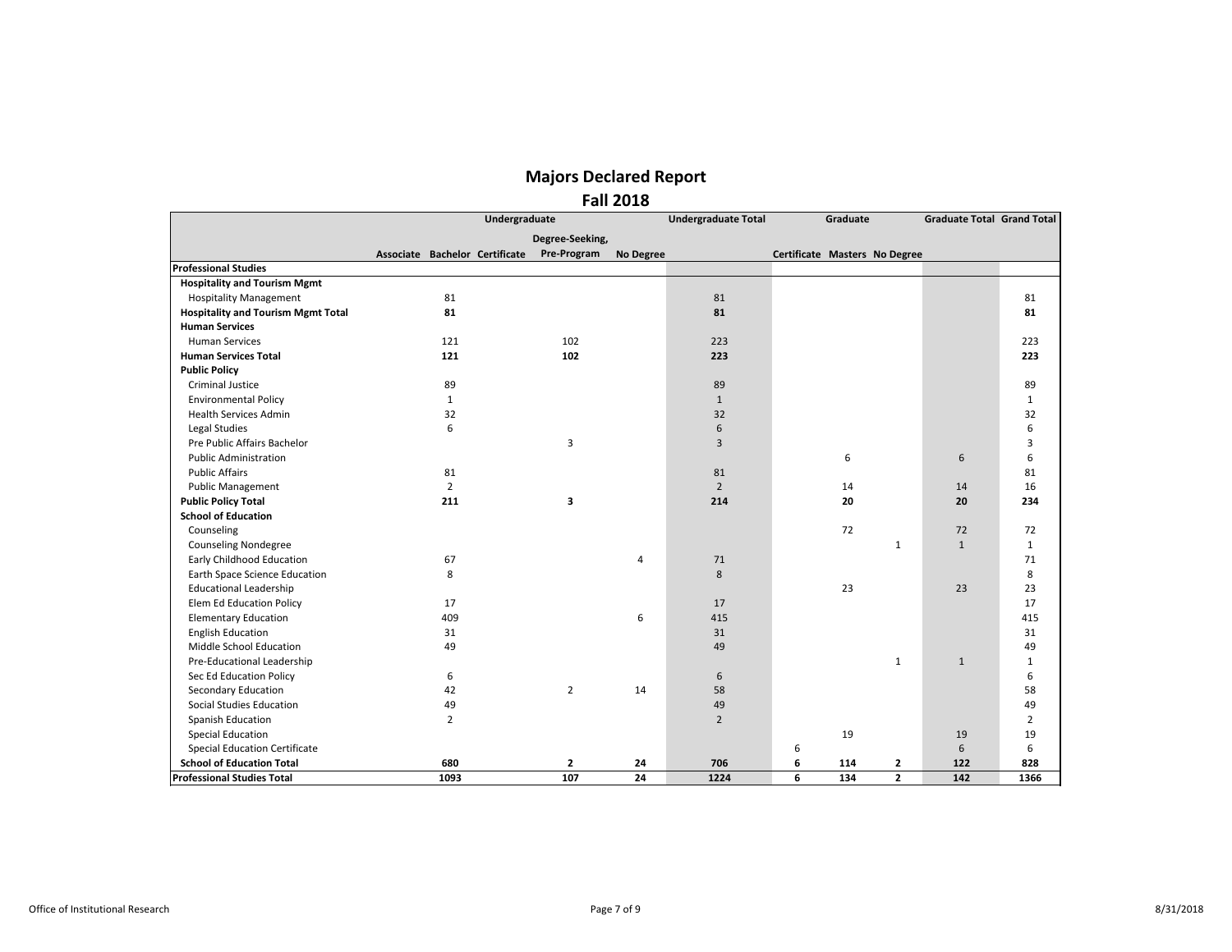|                                           |                                | Undergraduate |                 |           | <b>Undergraduate Total</b> |                               | Graduate |              | <b>Graduate Total Grand Total</b> |                |
|-------------------------------------------|--------------------------------|---------------|-----------------|-----------|----------------------------|-------------------------------|----------|--------------|-----------------------------------|----------------|
|                                           |                                |               | Degree-Seeking, |           |                            |                               |          |              |                                   |                |
|                                           | Associate Bachelor Certificate |               | Pre-Program     | No Degree |                            | Certificate Masters No Degree |          |              |                                   |                |
| <b>Professional Studies</b>               |                                |               |                 |           |                            |                               |          |              |                                   |                |
| <b>Hospitality and Tourism Mgmt</b>       |                                |               |                 |           |                            |                               |          |              |                                   |                |
| <b>Hospitality Management</b>             | 81                             |               |                 |           | 81                         |                               |          |              |                                   | 81             |
| <b>Hospitality and Tourism Mgmt Total</b> | 81                             |               |                 |           | 81                         |                               |          |              |                                   | 81             |
| <b>Human Services</b>                     |                                |               |                 |           |                            |                               |          |              |                                   |                |
| <b>Human Services</b>                     | 121                            |               | 102             |           | 223                        |                               |          |              |                                   | 223            |
| <b>Human Services Total</b>               | 121                            |               | 102             |           | 223                        |                               |          |              |                                   | 223            |
| <b>Public Policy</b>                      |                                |               |                 |           |                            |                               |          |              |                                   |                |
| <b>Criminal Justice</b>                   | 89                             |               |                 |           | 89                         |                               |          |              |                                   | 89             |
| <b>Environmental Policy</b>               | $\mathbf{1}$                   |               |                 |           | $\mathbf{1}$               |                               |          |              |                                   | $\mathbf{1}$   |
| <b>Health Services Admin</b>              | 32                             |               |                 |           | 32                         |                               |          |              |                                   | 32             |
| Legal Studies                             | 6                              |               |                 |           | 6                          |                               |          |              |                                   | 6              |
| Pre Public Affairs Bachelor               |                                |               | 3               |           | 3                          |                               |          |              |                                   | 3              |
| <b>Public Administration</b>              |                                |               |                 |           |                            |                               | 6        |              | 6                                 | 6              |
| <b>Public Affairs</b>                     | 81                             |               |                 |           | 81                         |                               |          |              |                                   | 81             |
| <b>Public Management</b>                  | $\overline{2}$                 |               |                 |           | $\overline{2}$             |                               | 14       |              | 14                                | 16             |
| <b>Public Policy Total</b>                | 211                            |               | 3               |           | 214                        |                               | 20       |              | 20                                | 234            |
| <b>School of Education</b>                |                                |               |                 |           |                            |                               |          |              |                                   |                |
| Counseling                                |                                |               |                 |           |                            |                               | 72       |              | 72                                | 72             |
| <b>Counseling Nondegree</b>               |                                |               |                 |           |                            |                               |          | $\mathbf{1}$ | $\mathbf{1}$                      | $\mathbf{1}$   |
| Early Childhood Education                 | 67                             |               |                 | 4         | 71                         |                               |          |              |                                   | 71             |
| Earth Space Science Education             | 8                              |               |                 |           | 8                          |                               |          |              |                                   | 8              |
| <b>Educational Leadership</b>             |                                |               |                 |           |                            |                               | 23       |              | 23                                | 23             |
| Elem Ed Education Policy                  | 17                             |               |                 |           | 17                         |                               |          |              |                                   | 17             |
| <b>Elementary Education</b>               | 409                            |               |                 | 6         | 415                        |                               |          |              |                                   | 415            |
| <b>English Education</b>                  | 31                             |               |                 |           | 31                         |                               |          |              |                                   | 31             |
| Middle School Education                   | 49                             |               |                 |           | 49                         |                               |          |              |                                   | 49             |
| Pre-Educational Leadership                |                                |               |                 |           |                            |                               |          | $\mathbf{1}$ | $\mathbf{1}$                      | $\mathbf{1}$   |
| Sec Ed Education Policy                   | 6                              |               |                 |           | 6                          |                               |          |              |                                   | 6              |
| <b>Secondary Education</b>                | 42                             |               | $\overline{2}$  | 14        | 58                         |                               |          |              |                                   | 58             |
| <b>Social Studies Education</b>           | 49                             |               |                 |           | 49                         |                               |          |              |                                   | 49             |
| Spanish Education                         | $\overline{2}$                 |               |                 |           | $\overline{2}$             |                               |          |              |                                   | $\overline{2}$ |
| <b>Special Education</b>                  |                                |               |                 |           |                            |                               | 19       |              | 19                                | 19             |
| <b>Special Education Certificate</b>      |                                |               |                 |           |                            | 6                             |          |              | $6\,$                             | 6              |
| <b>School of Education Total</b>          | 680                            |               | $\mathbf{2}$    | 24        | 706                        | 6                             | 114      | 2            | 122                               | 828            |
| <b>Professional Studies Total</b>         | 1093                           |               | 107             | 24        | 1224                       | 6                             | 134      | $\mathbf{2}$ | 142                               | 1366           |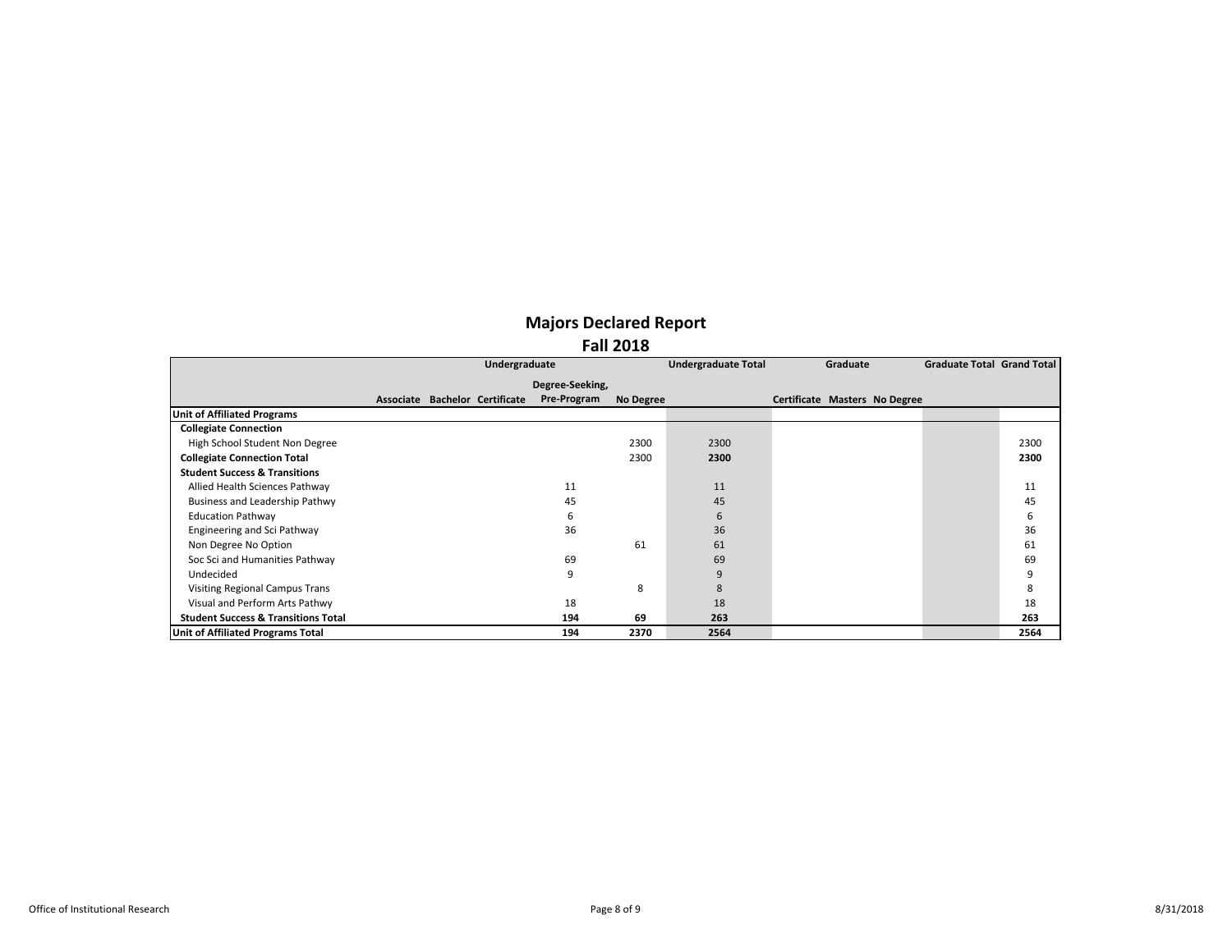|                                                |  | Undergraduate                  |                 |           | <b>Undergraduate Total</b> | Graduate                      | Graduate Total Grand Total |      |
|------------------------------------------------|--|--------------------------------|-----------------|-----------|----------------------------|-------------------------------|----------------------------|------|
|                                                |  |                                | Degree-Seeking, |           |                            |                               |                            |      |
|                                                |  | Associate Bachelor Certificate | Pre-Program     | No Degree |                            | Certificate Masters No Degree |                            |      |
| <b>Unit of Affiliated Programs</b>             |  |                                |                 |           |                            |                               |                            |      |
| <b>Collegiate Connection</b>                   |  |                                |                 |           |                            |                               |                            |      |
| High School Student Non Degree                 |  |                                |                 | 2300      | 2300                       |                               |                            | 2300 |
| <b>Collegiate Connection Total</b>             |  |                                |                 | 2300      | 2300                       |                               |                            | 2300 |
| <b>Student Success &amp; Transitions</b>       |  |                                |                 |           |                            |                               |                            |      |
| Allied Health Sciences Pathway                 |  |                                | 11              |           | 11                         |                               |                            | 11   |
| <b>Business and Leadership Pathwy</b>          |  |                                | 45              |           | 45                         |                               |                            | 45   |
| <b>Education Pathway</b>                       |  |                                | 6               |           | 6                          |                               |                            | 6    |
| Engineering and Sci Pathway                    |  |                                | 36              |           | 36                         |                               |                            | 36   |
| Non Degree No Option                           |  |                                |                 | 61        | 61                         |                               |                            | 61   |
| Soc Sci and Humanities Pathway                 |  |                                | 69              |           | 69                         |                               |                            | 69   |
| Undecided                                      |  |                                | 9               |           | 9                          |                               |                            | 9    |
| Visiting Regional Campus Trans                 |  |                                |                 | 8         | 8                          |                               |                            | 8    |
| Visual and Perform Arts Pathwy                 |  |                                | 18              |           | 18                         |                               |                            | 18   |
| <b>Student Success &amp; Transitions Total</b> |  |                                | 194             | 69        | 263                        |                               |                            | 263  |
| Unit of Affiliated Programs Total              |  |                                | 194             | 2370      | 2564                       |                               |                            | 2564 |